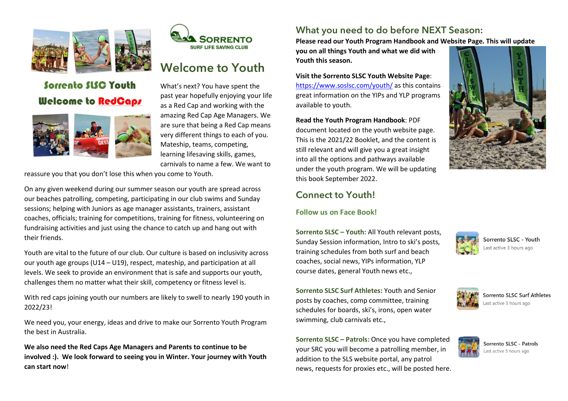

# Sorrento SLSC Youth **Welcome to RedCaps**





# Welcome to Youth

What's next? You have spent the past year hopefully enjoying your life as a Red Cap and working with the amazing Red Cap Age Managers. We are sure that being a Red Cap means very different things to each of you. Mateship, teams, competing, learning lifesaving skills, games, carnivals to name a few. We want to

reassure you that you don't lose this when you come to Youth.

On any given weekend during our summer season our youth are spread across our beaches patrolling, competing, participating in our club swims and Sunday sessions; helping with Juniors as age manager assistants, trainers, assistant coaches, officials; training for competitions, training for fitness, volunteering on fundraising activities and just using the chance to catch up and hang out with their friends.

Youth are vital to the future of our club. Our culture is based on inclusivity across our youth age groups (U14 – U19), respect, mateship, and participation at all levels. We seek to provide an environment that is safe and supports our youth, challenges them no matter what their skill, competency or fitness level is.

With red caps joining youth our numbers are likely to swell to nearly 190 youth in 2022/23!

We need you, your energy, ideas and drive to make our Sorrento Youth Program the best in Australia.

We also need the Red Caps Age Managers and Parents to continue to be involved :). We look forward to seeing you in Winter. Your journey with Youth can start now!

## What you need to do before NEXT Season:

Please read our Youth Program Handbook and Website Page. This will update

you on all things Youth and what we did with Youth this season.

Visit the Sorrento SLSC Youth Website Page: https://www.soslsc.com/youth/ as this contains great information on the YIPs and YLP programs available to youth.

Read the Youth Program Handbook: PDF document located on the youth website page. This is the 2021/22 Booklet, and the content is still relevant and will give you a great insight into all the options and pathways available under the youth program. We will be updating this book September 2022.



## Connect to Youth!

#### Follow us on Face Book!

Sorrento SLSC – Youth: All Youth relevant posts, Sunday Session information, Intro to ski's posts, training schedules from both surf and beach coaches, social news, YIPs information, YLP course dates, general Youth news etc.,

Sorrento SLSC Surf Athletes: Youth and Senior posts by coaches, comp committee, training schedules for boards, ski's, irons, open water swimming, club carnivals etc.,

Sorrento SLSC – Patrols: Once you have completed your SRC you will become a patrolling member, in addition to the SLS website portal, any patrol news, requests for proxies etc., will be posted here.



Sorrento SLSC - Youth Last active 3 hours ago



Sorrento SLSC Surf Athletes ast active 3 hours ago



Sorrento SLSC - Patrols Last active 5 hours ago